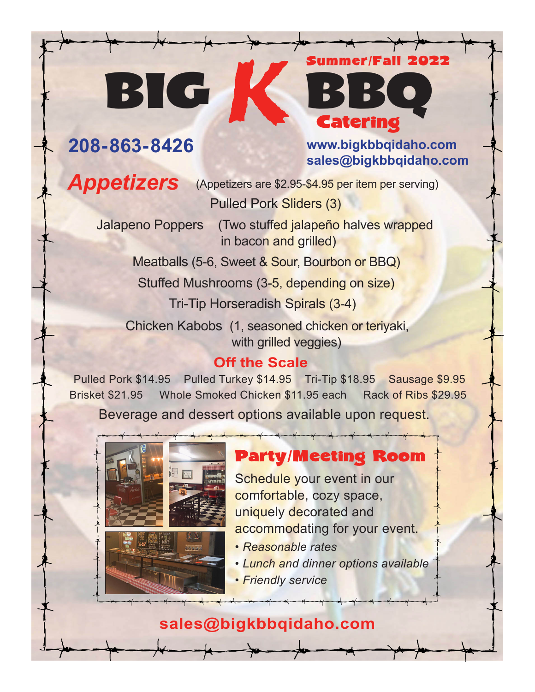#### **208-863-8426 www.bigkbbqidaho.com sales@bigkbbqidaho.com**

Summer**/**Fall 2022

Catering

Appetizers (Appetizers are \$2.95-\$4.95 per item per serving) Pulled Pork Sliders (3)

BIG<sup>L</sup>

 Jalapeno Poppers (Two stuffed jalapeño halves wrapped in bacon and grilled)

Meatballs (5-6, Sweet & Sour, Bourbon or BBQ)

 Stuffed Mushrooms (3-5, depending on size) Tri-Tip Horseradish Spirals (3-4)

Chicken Kabobs (1, seasoned chicken or teriyaki,

with grilled veggies)

#### **Off the Scale**

 Pulled Pork \$14.95 Pulled Turkey \$14.95 Tri-Tip \$18.95 Sausage \$9.95 Brisket \$21.95 Whole Smoked Chicken \$11.95 each Rack of Ribs \$29.95 Beverage and dessert options available upon request.





### Party/Meeting Room

Schedule your event in our comfortable, cozy space, uniquely decorated and accommodating for your event.

- *• Reasonable rates*
- *• Lunch and dinner options available*
- *• Friendly service*

### **sales@bigkbbqidaho.com**